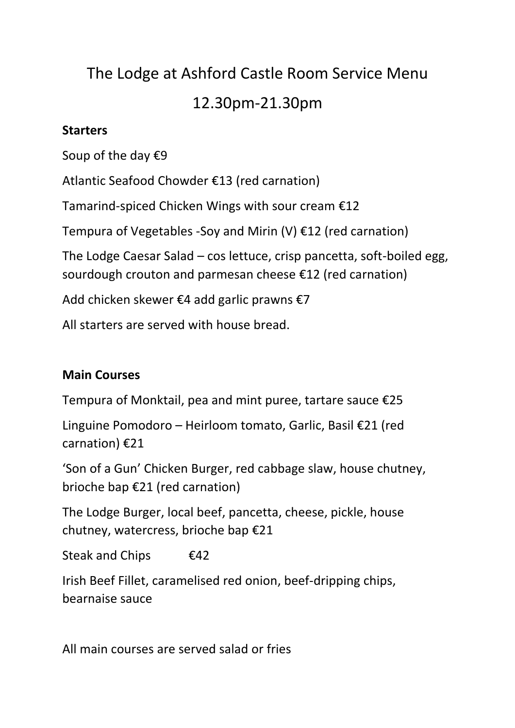# The Lodge at Ashford Castle Room Service Menu 12.30pm-21.30pm

## **Starters**

Soup of the day €9

Atlantic Seafood Chowder €13 (red carnation)

Tamarind-spiced Chicken Wings with sour cream €12

Tempura of Vegetables -Soy and Mirin (V)  $E12$  (red carnation)

The Lodge Caesar Salad – cos lettuce, crisp pancetta, soft-boiled egg, sourdough crouton and parmesan cheese €12 (red carnation)

Add chicken skewer €4 add garlic prawns €7

All starters are served with house bread.

## **Main Courses**

Tempura of Monktail, pea and mint puree, tartare sauce  $\epsilon$ 25

Linguine Pomodoro – Heirloom tomato, Garlic, Basil €21 (red carnation) €21

'Son of a Gun' Chicken Burger, red cabbage slaw, house chutney, brioche bap €21 (red carnation)

The Lodge Burger, local beef, pancetta, cheese, pickle, house chutney, watercress, brioche bap €21

Steak and Chips  $\epsilon$ 42

Irish Beef Fillet, caramelised red onion, beef-dripping chips, bearnaise sauce

All main courses are served salad or fries